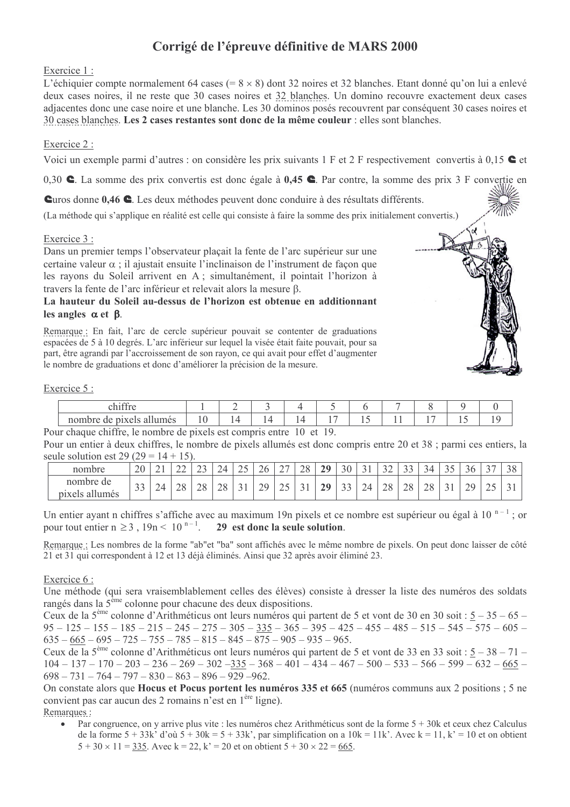# Corrigé de l'épreuve définitive de MARS 2000

## Exercice 1:

L'échiquier compte normalement 64 cases  $(= 8 \times 8)$  dont 32 noires et 32 blanches. Etant donné qu'on lui a enlevé deux cases noires, il ne reste que 30 cases noires et 32 blanches. Un domino recouvre exactement deux cases adjacentes donc une case noire et une blanche. Les 30 dominos posés recouvrent par conséquent 30 cases noires et 30 cases blanches. Les 2 cases restantes sont donc de la même couleur : elles sont blanches.

# Exercice 2:

Voici un exemple parmi d'autres : on considère les prix suivants  $1 \text{ F}$  et  $2 \text{ F}$  respectivement convertis à 0,15 **e** et

0,30  $\bullet$ . La somme des prix convertis est donc égale à 0,45  $\bullet$ . Par contre, la somme des prix 3 F convertie en

Curos donne 0,46 C. Les deux méthodes peuvent donc conduire à des résultats différents.

(La méthode qui s'applique en réalité est celle qui consiste à faire la somme des prix initialement convertis.)

## Exercice 3 :

Dans un premier temps l'observateur plaçait la fente de l'arc supérieur sur une certaine valeur  $\alpha$  : il aiustait ensuite l'inclinaison de l'instrument de facon que les rayons du Soleil arrivent en A ; simultanément, il pointait l'horizon à travers la fente de l'arc inférieur et relevait alors la mesure  $\beta$ .

#### La hauteur du Soleil au-dessus de l'horizon est obtenue en additionnant les angles  $\alpha$  et  $\beta$ .

Remarque : En fait, l'arc de cercle supérieur pouvait se contenter de graduations espacées de 5 à 10 degrés. L'arc inférieur sur lequel la visée était faite pouvait, pour sa part, être agrandi par l'accroissement de son rayon, ce qui avait pour effet d'augmenter le nombre de graduations et donc d'améliorer la précision de la mesure.

#### Exercice 5 :

| $\cdot$ $\alpha\alpha$           |    |  |  |                          |  |     |  |
|----------------------------------|----|--|--|--------------------------|--|-----|--|
| allumes<br>$\Delta$ l<br>.<br>ae | ΙU |  |  | $\overline{\phantom{a}}$ |  | . . |  |

Pour chaque chiffre, le nombre de pixels est compris entre 10 et 19.

Pour un entier à deux chiffres, le nombre de pixels allumés est donc compris entre 20 et 38 ; parmi ces entiers, la seule solution est 29 (29 =  $14 + 15$ ).

| nombro                            | 20<br>$\sim$ 0   | -          | -- | ب سک      | ∼  | -<br>--                                           | $\sim$<br>20 | $\sim$ $-$<br>∽ | $\cap$<br>$\angle C$   | $\mathbf{A}$<br>29<br>- | $\sim$ $\sim$<br>$\check{ }$<br>$\checkmark$ | $\sim$ $\sim$<br>$\check{ }$ | $\sim$ $\sim$<br>∸   | $\bigcap$<br>ັ<br>ັ | $\sim$<br>≺⊿<br>$\checkmark$ | ັ<br>$\overline{\phantom{a}}$ | 30                             | $\sim$ $-$<br>╯ | $\sim$ $\sim$<br>$\checkmark$ |
|-----------------------------------|------------------|------------|----|-----------|----|---------------------------------------------------|--------------|-----------------|------------------------|-------------------------|----------------------------------------------|------------------------------|----------------------|---------------------|------------------------------|-------------------------------|--------------------------------|-----------------|-------------------------------|
| nombre<br>de<br>pixels<br>allumes | $\bigcap$<br>ر ر | $\angle 4$ | ∸  | າ ເ<br>∠∪ | ∠∪ | $\tilde{\phantom{a}}$<br>$\overline{\phantom{0}}$ | າດ<br>∸      | ت ک             | $\sim$<br>$\checkmark$ | 29                      | $\check{ }$<br>-                             | 24                           | $\cap$<br>$\angle$ O | $\Omega$<br>20      | 28                           | ت                             | 20<br>$\overline{\phantom{0}}$ | --              | ັ                             |

Un entier ayant n chiffres s'affiche avec au maximum 19n pixels et ce nombre est supérieur ou égal à 10<sup>n-1</sup>; or pour tout entier  $n \ge 3$ ,  $19n < 10^{n-1}$ . 29 est donc la seule solution.

Remarque : Les nombres de la forme "ab"et "ba" sont affichés avec le même nombre de pixels. On peut donc laisser de côté 21 et 31 qui correspondent à 12 et 13 déjà éliminés. Ainsi que 32 après avoir éliminé 23.

#### <u>Exercice 6:</u>

Une méthode (qui sera vraisemblablement celles des élèves) consiste à dresser la liste des numéros des soldats rangés dans la  $5<sup>ème</sup>$  colonne pour chacune des deux dispositions.

Ceux de la 5<sup>ème</sup> colonne d'Arithméticus ont leurs numéros qui partent de 5 et vont de 30 en 30 soit : 5 – 35 – 65 –  $95 - 125 - 155 - 185 - 215 - 245 - 275 - 305 - 335 - 365 - 395 - 425 - 455 - 485 - 515 - 545 - 575 - 605 635 - 665 - 695 - 725 - 755 - 785 - 815 - 845 - 875 - 905 - 935 - 965$ 

Ceux de la  $5^{\text{eme}}$  colonne d'Arithméticus ont leurs numéros qui partent de 5 et vont de 33 en 33 soit :  $5-38-71 104 - 137 - 170 - 203 - 236 - 269 - 302 - 335 - 368 - 401 - 434 - 467 - 500 - 533 - 566 - 599 - 632 - 665 698 - 731 - 764 - 797 - 830 - 863 - 896 - 929 - 962$ 

On constate alors que **Hocus et Pocus portent les numéros 335 et 665** (numéros communs aux 2 positions ; 5 ne convient pas car aucun des 2 romains n'est en 1<sup>ère</sup> ligne).

- Remarques:
	- Par congruence, on y arrive plus vite : les numéros chez Arithméticus sont de la forme  $5 + 30k$  et ceux chez Calculus de la forme  $5 + 33k'$  d'où  $5 + 30k = 5 + 33k'$ , par simplification on a  $10k = 11k'$ . Avec  $k = 11$ ,  $k' = 10$  et on obtient  $5 + 30 \times 11 = 335$ . Avec  $k = 22$ ,  $k' = 20$  et on obtient  $5 + 30 \times 22 = 665$ .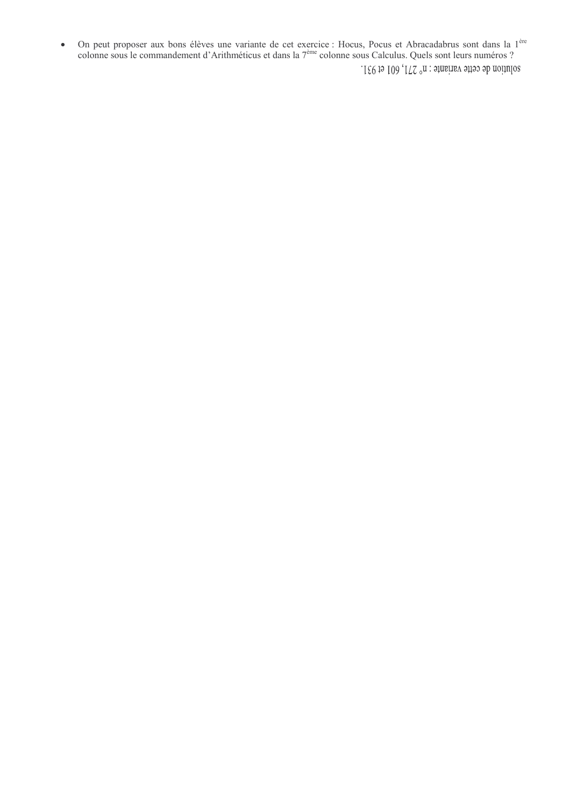On peut proposer aux bons élèves une variante de cet exercice : Hocus, Pocus et Abracadabrus sont dans la 1<sup>ère</sup> colonne sous le commandement d'Arithméticus et dans la 7<sup>ère</sup> colonne sous Calculus. Quels sont leurs numéros  $\bullet$ solution de cette variante : n° 271, 601 et 931.